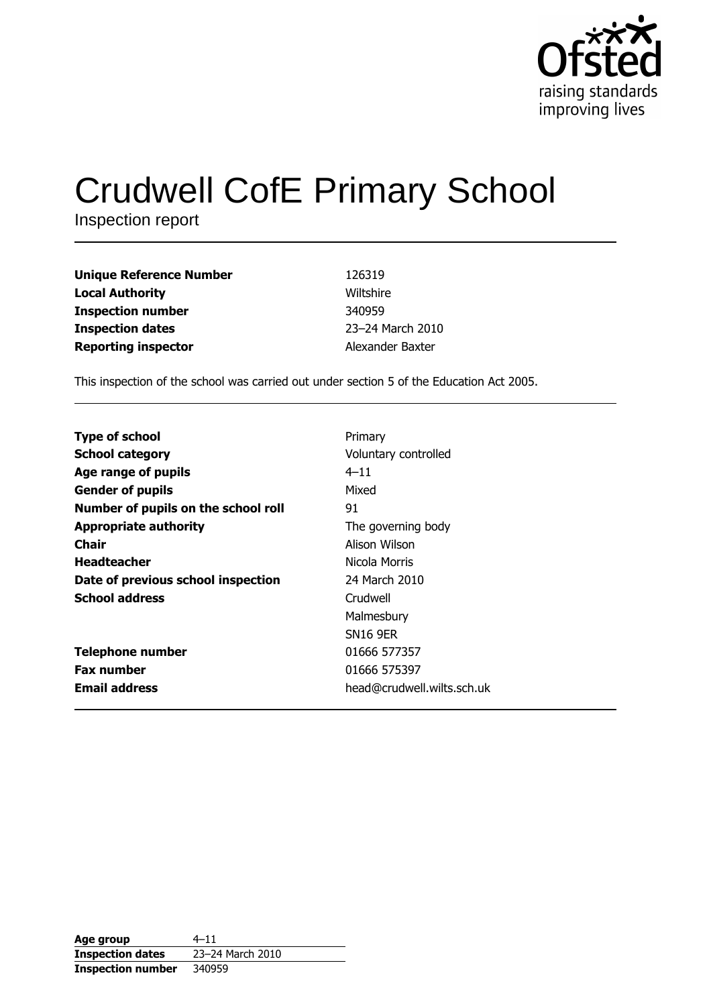

# **Crudwell CofE Primary School**

Inspection report

| 126319           |
|------------------|
| Wiltshire        |
| 340959           |
| 23-24 March 2010 |
| Alexander Baxter |
|                  |

This inspection of the school was carried out under section 5 of the Education Act 2005.

| <b>Type of school</b>               | Primary                    |
|-------------------------------------|----------------------------|
| <b>School category</b>              | Voluntary controlled       |
| Age range of pupils                 | $4 - 11$                   |
| <b>Gender of pupils</b>             | Mixed                      |
| Number of pupils on the school roll | 91                         |
| <b>Appropriate authority</b>        | The governing body         |
| Chair                               | Alison Wilson              |
| <b>Headteacher</b>                  | Nicola Morris              |
| Date of previous school inspection  | 24 March 2010              |
| <b>School address</b>               | Crudwell                   |
|                                     | Malmesbury                 |
|                                     | <b>SN16 9ER</b>            |
| <b>Telephone number</b>             | 01666 577357               |
| <b>Fax number</b>                   | 01666 575397               |
| <b>Email address</b>                | head@crudwell.wilts.sch.uk |

| Age group                | $4 - 11$         |
|--------------------------|------------------|
| <b>Inspection dates</b>  | 23-24 March 2010 |
| <b>Inspection number</b> | 340959           |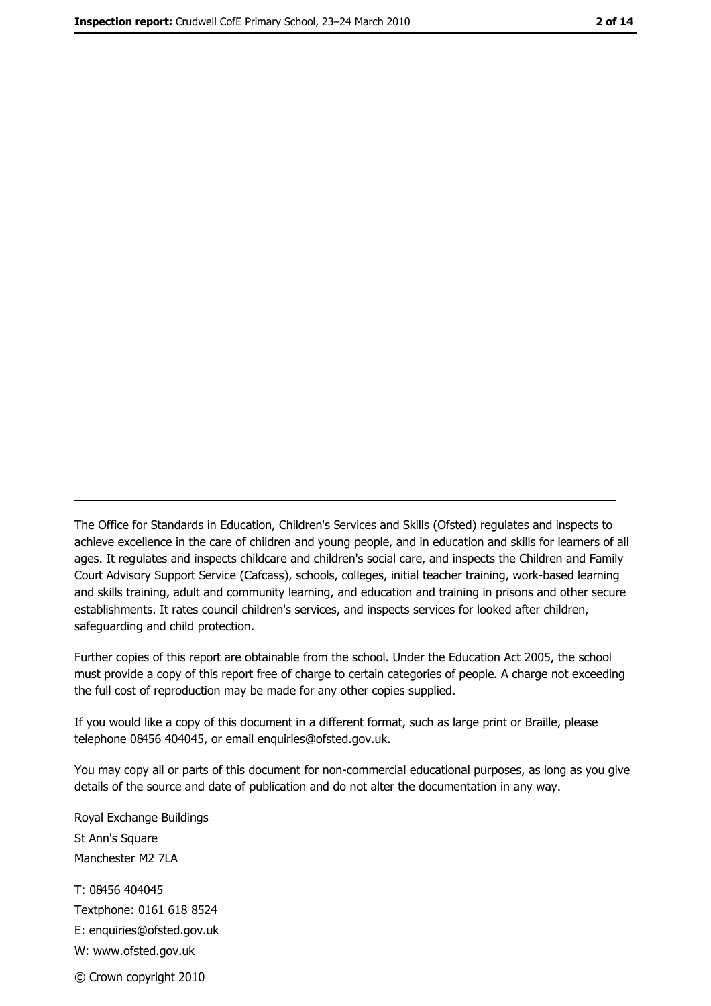The Office for Standards in Education, Children's Services and Skills (Ofsted) regulates and inspects to achieve excellence in the care of children and young people, and in education and skills for learners of all ages. It regulates and inspects childcare and children's social care, and inspects the Children and Family Court Advisory Support Service (Cafcass), schools, colleges, initial teacher training, work-based learning and skills training, adult and community learning, and education and training in prisons and other secure establishments. It rates council children's services, and inspects services for looked after children, safequarding and child protection.

Further copies of this report are obtainable from the school. Under the Education Act 2005, the school must provide a copy of this report free of charge to certain categories of people. A charge not exceeding the full cost of reproduction may be made for any other copies supplied.

If you would like a copy of this document in a different format, such as large print or Braille, please telephone 08456 404045, or email enquiries@ofsted.gov.uk.

You may copy all or parts of this document for non-commercial educational purposes, as long as you give details of the source and date of publication and do not alter the documentation in any way.

Royal Exchange Buildings St Ann's Square Manchester M2 7LA T: 08456 404045 Textphone: 0161 618 8524 E: enquiries@ofsted.gov.uk W: www.ofsted.gov.uk © Crown copyright 2010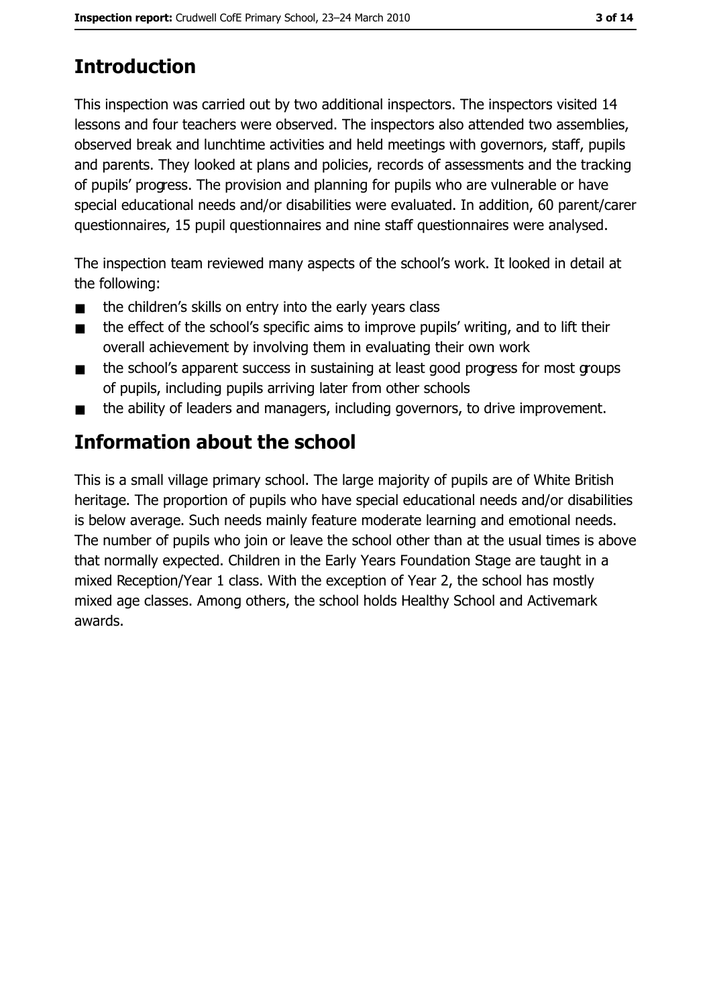# **Introduction**

This inspection was carried out by two additional inspectors. The inspectors visited 14 lessons and four teachers were observed. The inspectors also attended two assemblies, observed break and lunchtime activities and held meetings with governors, staff, pupils and parents. They looked at plans and policies, records of assessments and the tracking of pupils' progress. The provision and planning for pupils who are vulnerable or have special educational needs and/or disabilities were evaluated. In addition, 60 parent/carer questionnaires, 15 pupil questionnaires and nine staff questionnaires were analysed.

The inspection team reviewed many aspects of the school's work. It looked in detail at the following:

- the children's skills on entry into the early years class  $\blacksquare$
- the effect of the school's specific aims to improve pupils' writing, and to lift their  $\blacksquare$ overall achievement by involving them in evaluating their own work
- the school's apparent success in sustaining at least good progress for most groups  $\blacksquare$ of pupils, including pupils arriving later from other schools
- the ability of leaders and managers, including governors, to drive improvement.

# **Information about the school**

This is a small village primary school. The large majority of pupils are of White British heritage. The proportion of pupils who have special educational needs and/or disabilities is below average. Such needs mainly feature moderate learning and emotional needs. The number of pupils who join or leave the school other than at the usual times is above that normally expected. Children in the Early Years Foundation Stage are taught in a mixed Reception/Year 1 class. With the exception of Year 2, the school has mostly mixed age classes. Among others, the school holds Healthy School and Activemark awards.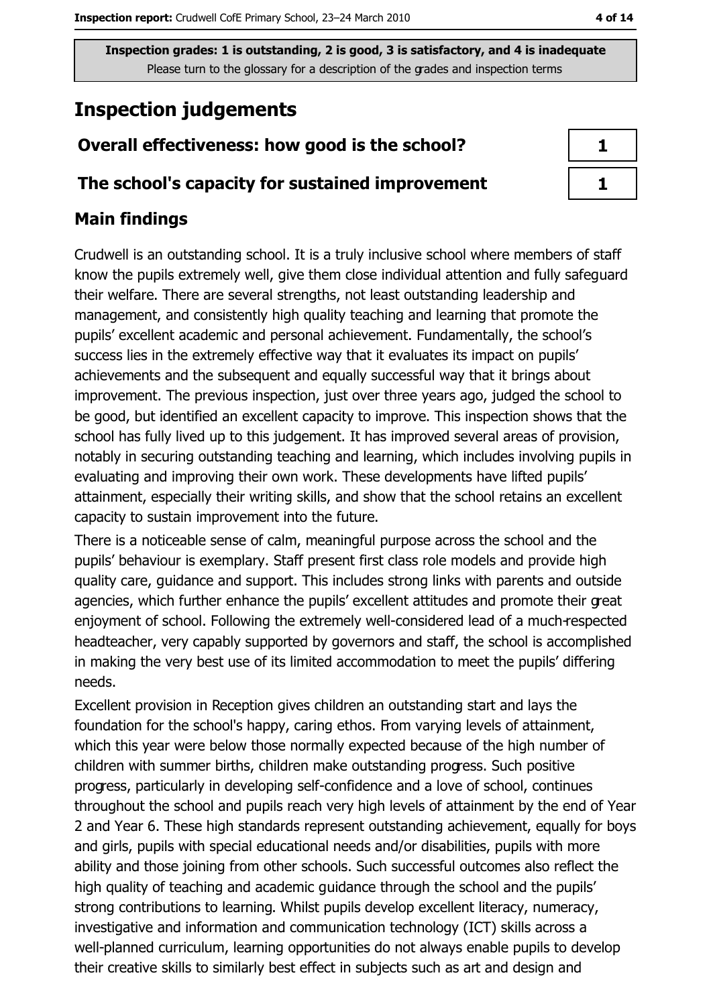# **Inspection judgements**

# Overall effectiveness: how good is the school?

#### The school's capacity for sustained improvement

# **Main findings**

Crudwell is an outstanding school. It is a truly inclusive school where members of staff know the pupils extremely well, give them close individual attention and fully safeguard their welfare. There are several strengths, not least outstanding leadership and management, and consistently high quality teaching and learning that promote the pupils' excellent academic and personal achievement. Fundamentally, the school's success lies in the extremely effective way that it evaluates its impact on pupils' achievements and the subsequent and equally successful way that it brings about improvement. The previous inspection, just over three years ago, judged the school to be good, but identified an excellent capacity to improve. This inspection shows that the school has fully lived up to this judgement. It has improved several areas of provision, notably in securing outstanding teaching and learning, which includes involving pupils in evaluating and improving their own work. These developments have lifted pupils' attainment, especially their writing skills, and show that the school retains an excellent capacity to sustain improvement into the future.

There is a noticeable sense of calm, meaningful purpose across the school and the pupils' behaviour is exemplary. Staff present first class role models and provide high quality care, guidance and support. This includes strong links with parents and outside agencies, which further enhance the pupils' excellent attitudes and promote their great enjoyment of school. Following the extremely well-considered lead of a much-respected headteacher, very capably supported by governors and staff, the school is accomplished in making the very best use of its limited accommodation to meet the pupils' differing needs.

Excellent provision in Reception gives children an outstanding start and lays the foundation for the school's happy, caring ethos. From varying levels of attainment, which this year were below those normally expected because of the high number of children with summer births, children make outstanding progress. Such positive progress, particularly in developing self-confidence and a love of school, continues throughout the school and pupils reach very high levels of attainment by the end of Year 2 and Year 6. These high standards represent outstanding achievement, equally for boys and girls, pupils with special educational needs and/or disabilities, pupils with more ability and those joining from other schools. Such successful outcomes also reflect the high quality of teaching and academic quidance through the school and the pupils' strong contributions to learning. Whilst pupils develop excellent literacy, numeracy, investigative and information and communication technology (ICT) skills across a well-planned curriculum, learning opportunities do not always enable pupils to develop their creative skills to similarly best effect in subjects such as art and design and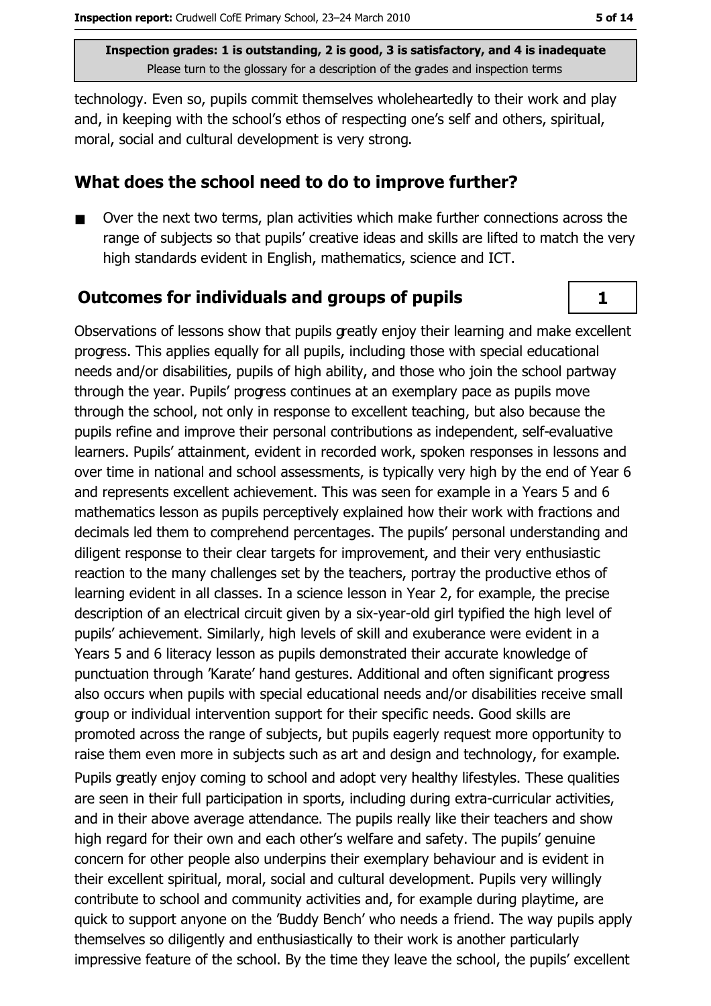technology. Even so, pupils commit themselves wholeheartedly to their work and play and, in keeping with the school's ethos of respecting one's self and others, spiritual, moral, social and cultural development is very strong.

#### What does the school need to do to improve further?

Over the next two terms, plan activities which make further connections across the range of subjects so that pupils' creative ideas and skills are lifted to match the very high standards evident in English, mathematics, science and ICT.

## **Outcomes for individuals and groups of pupils**

Observations of lessons show that pupils greatly enjoy their learning and make excellent progress. This applies equally for all pupils, including those with special educational needs and/or disabilities, pupils of high ability, and those who join the school partway through the year. Pupils' progress continues at an exemplary pace as pupils move through the school, not only in response to excellent teaching, but also because the pupils refine and improve their personal contributions as independent, self-evaluative learners. Pupils' attainment, evident in recorded work, spoken responses in lessons and over time in national and school assessments, is typically very high by the end of Year 6 and represents excellent achievement. This was seen for example in a Years 5 and 6 mathematics lesson as pupils perceptively explained how their work with fractions and decimals led them to comprehend percentages. The pupils' personal understanding and diligent response to their clear targets for improvement, and their very enthusiastic reaction to the many challenges set by the teachers, portray the productive ethos of learning evident in all classes. In a science lesson in Year 2, for example, the precise description of an electrical circuit given by a six-year-old girl typified the high level of pupils' achievement. Similarly, high levels of skill and exuberance were evident in a Years 5 and 6 literacy lesson as pupils demonstrated their accurate knowledge of punctuation through 'Karate' hand gestures. Additional and often significant progress also occurs when pupils with special educational needs and/or disabilities receive small group or individual intervention support for their specific needs. Good skills are promoted across the range of subjects, but pupils eagerly request more opportunity to raise them even more in subjects such as art and design and technology, for example. Pupils greatly enjoy coming to school and adopt very healthy lifestyles. These qualities are seen in their full participation in sports, including during extra-curricular activities, and in their above average attendance. The pupils really like their teachers and show high regard for their own and each other's welfare and safety. The pupils' genuine concern for other people also underpins their exemplary behaviour and is evident in their excellent spiritual, moral, social and cultural development. Pupils very willingly contribute to school and community activities and, for example during playtime, are quick to support anyone on the 'Buddy Bench' who needs a friend. The way pupils apply themselves so diligently and enthusiastically to their work is another particularly impressive feature of the school. By the time they leave the school, the pupils' excellent

 $\mathbf{1}$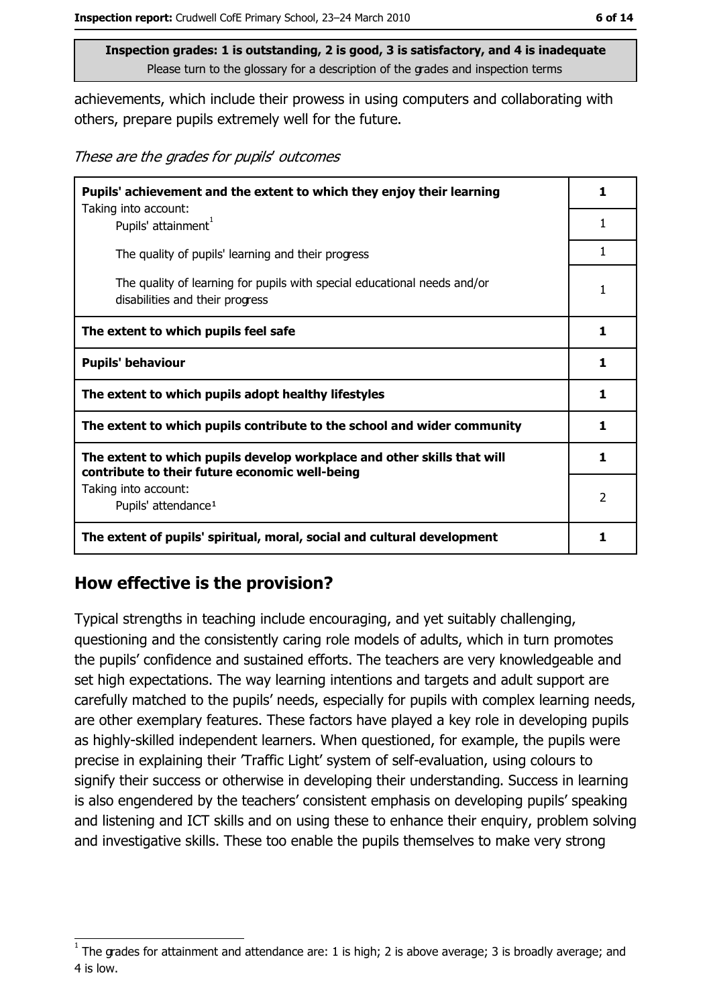achievements, which include their prowess in using computers and collaborating with others, prepare pupils extremely well for the future.

These are the grades for pupils' outcomes

| Pupils' achievement and the extent to which they enjoy their learning                                                     |                |  |  |
|---------------------------------------------------------------------------------------------------------------------------|----------------|--|--|
| Taking into account:<br>Pupils' attainment <sup>1</sup>                                                                   |                |  |  |
| The quality of pupils' learning and their progress                                                                        | 1              |  |  |
| The quality of learning for pupils with special educational needs and/or<br>disabilities and their progress               | 1              |  |  |
| The extent to which pupils feel safe                                                                                      | 1              |  |  |
| <b>Pupils' behaviour</b>                                                                                                  | 1              |  |  |
| The extent to which pupils adopt healthy lifestyles                                                                       | 1              |  |  |
| The extent to which pupils contribute to the school and wider community                                                   | 1              |  |  |
| The extent to which pupils develop workplace and other skills that will<br>contribute to their future economic well-being | 1              |  |  |
| Taking into account:<br>Pupils' attendance <sup>1</sup>                                                                   | $\overline{2}$ |  |  |
| The extent of pupils' spiritual, moral, social and cultural development                                                   | 1              |  |  |

## How effective is the provision?

Typical strengths in teaching include encouraging, and yet suitably challenging, questioning and the consistently caring role models of adults, which in turn promotes the pupils' confidence and sustained efforts. The teachers are very knowledgeable and set high expectations. The way learning intentions and targets and adult support are carefully matched to the pupils' needs, especially for pupils with complex learning needs, are other exemplary features. These factors have played a key role in developing pupils as highly-skilled independent learners. When questioned, for example, the pupils were precise in explaining their 'Traffic Light' system of self-evaluation, using colours to signify their success or otherwise in developing their understanding. Success in learning is also engendered by the teachers' consistent emphasis on developing pupils' speaking and listening and ICT skills and on using these to enhance their enquiry, problem solving and investigative skills. These too enable the pupils themselves to make very strong

The grades for attainment and attendance are: 1 is high; 2 is above average; 3 is broadly average; and 4 is low.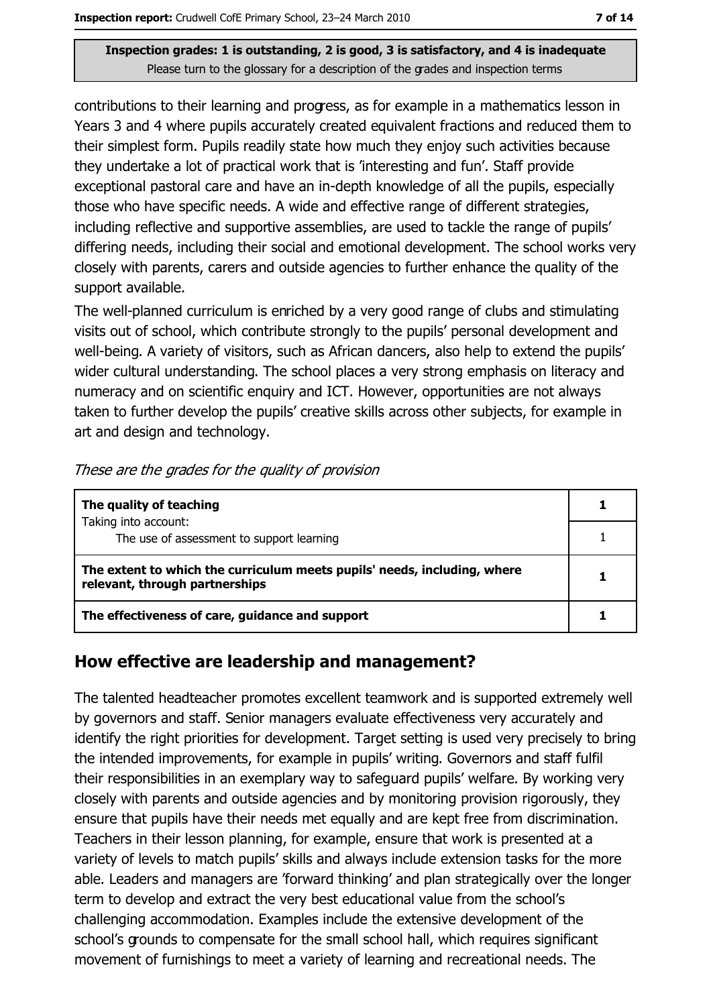contributions to their learning and progress, as for example in a mathematics lesson in Years 3 and 4 where pupils accurately created equivalent fractions and reduced them to their simplest form. Pupils readily state how much they enjoy such activities because they undertake a lot of practical work that is 'interesting and fun'. Staff provide exceptional pastoral care and have an in-depth knowledge of all the pupils, especially those who have specific needs. A wide and effective range of different strategies, including reflective and supportive assemblies, are used to tackle the range of pupils' differing needs, including their social and emotional development. The school works very closely with parents, carers and outside agencies to further enhance the quality of the support available.

The well-planned curriculum is enriched by a very good range of clubs and stimulating visits out of school, which contribute strongly to the pupils' personal development and well-being. A variety of visitors, such as African dancers, also help to extend the pupils' wider cultural understanding. The school places a very strong emphasis on literacy and numeracy and on scientific enquiry and ICT. However, opportunities are not always taken to further develop the pupils' creative skills across other subjects, for example in art and design and technology.

| These are the grades for the quality of provision |  |
|---------------------------------------------------|--|
|---------------------------------------------------|--|

| The quality of teaching                                                                                    |  |
|------------------------------------------------------------------------------------------------------------|--|
| Taking into account:<br>The use of assessment to support learning                                          |  |
|                                                                                                            |  |
| The extent to which the curriculum meets pupils' needs, including, where<br>relevant, through partnerships |  |
| The effectiveness of care, guidance and support                                                            |  |

#### How effective are leadership and management?

The talented headteacher promotes excellent teamwork and is supported extremely well by governors and staff. Senior managers evaluate effectiveness very accurately and identify the right priorities for development. Target setting is used very precisely to bring the intended improvements, for example in pupils' writing. Governors and staff fulfil their responsibilities in an exemplary way to safeguard pupils' welfare. By working very closely with parents and outside agencies and by monitoring provision rigorously, they ensure that pupils have their needs met equally and are kept free from discrimination. Teachers in their lesson planning, for example, ensure that work is presented at a variety of levels to match pupils' skills and always include extension tasks for the more able. Leaders and managers are 'forward thinking' and plan strategically over the longer term to develop and extract the very best educational value from the school's challenging accommodation. Examples include the extensive development of the school's grounds to compensate for the small school hall, which requires significant movement of furnishings to meet a variety of learning and recreational needs. The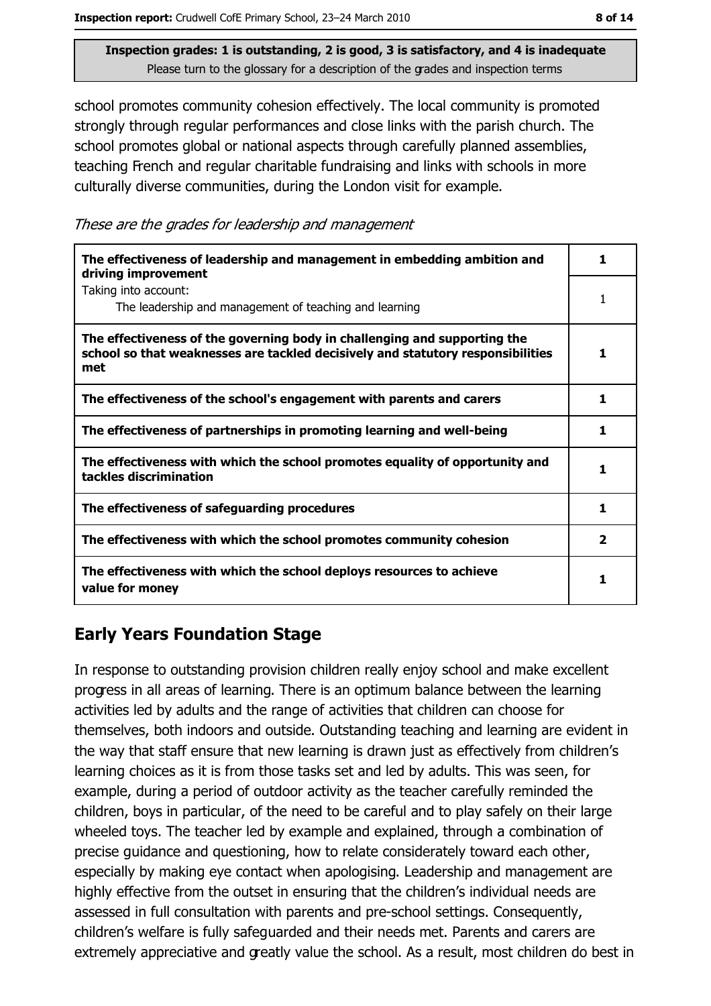school promotes community cohesion effectively. The local community is promoted strongly through regular performances and close links with the parish church. The school promotes global or national aspects through carefully planned assemblies, teaching French and regular charitable fundraising and links with schools in more culturally diverse communities, during the London visit for example.

These are the grades for leadership and management

| The effectiveness of leadership and management in embedding ambition and<br>driving improvement                                                                     | 1 |
|---------------------------------------------------------------------------------------------------------------------------------------------------------------------|---|
| Taking into account:<br>The leadership and management of teaching and learning                                                                                      |   |
| The effectiveness of the governing body in challenging and supporting the<br>school so that weaknesses are tackled decisively and statutory responsibilities<br>met | 1 |
| The effectiveness of the school's engagement with parents and carers                                                                                                | 1 |
| The effectiveness of partnerships in promoting learning and well-being                                                                                              | 1 |
| The effectiveness with which the school promotes equality of opportunity and<br>tackles discrimination                                                              | 1 |
| The effectiveness of safeguarding procedures                                                                                                                        | 1 |
| The effectiveness with which the school promotes community cohesion                                                                                                 | 2 |
| The effectiveness with which the school deploys resources to achieve<br>value for money                                                                             |   |

## **Early Years Foundation Stage**

In response to outstanding provision children really enjoy school and make excellent progress in all areas of learning. There is an optimum balance between the learning activities led by adults and the range of activities that children can choose for themselves, both indoors and outside. Outstanding teaching and learning are evident in the way that staff ensure that new learning is drawn just as effectively from children's learning choices as it is from those tasks set and led by adults. This was seen, for example, during a period of outdoor activity as the teacher carefully reminded the children, boys in particular, of the need to be careful and to play safely on their large wheeled toys. The teacher led by example and explained, through a combination of precise quidance and questioning, how to relate considerately toward each other, especially by making eye contact when apologising. Leadership and management are highly effective from the outset in ensuring that the children's individual needs are assessed in full consultation with parents and pre-school settings. Consequently, children's welfare is fully safeguarded and their needs met. Parents and carers are extremely appreciative and greatly value the school. As a result, most children do best in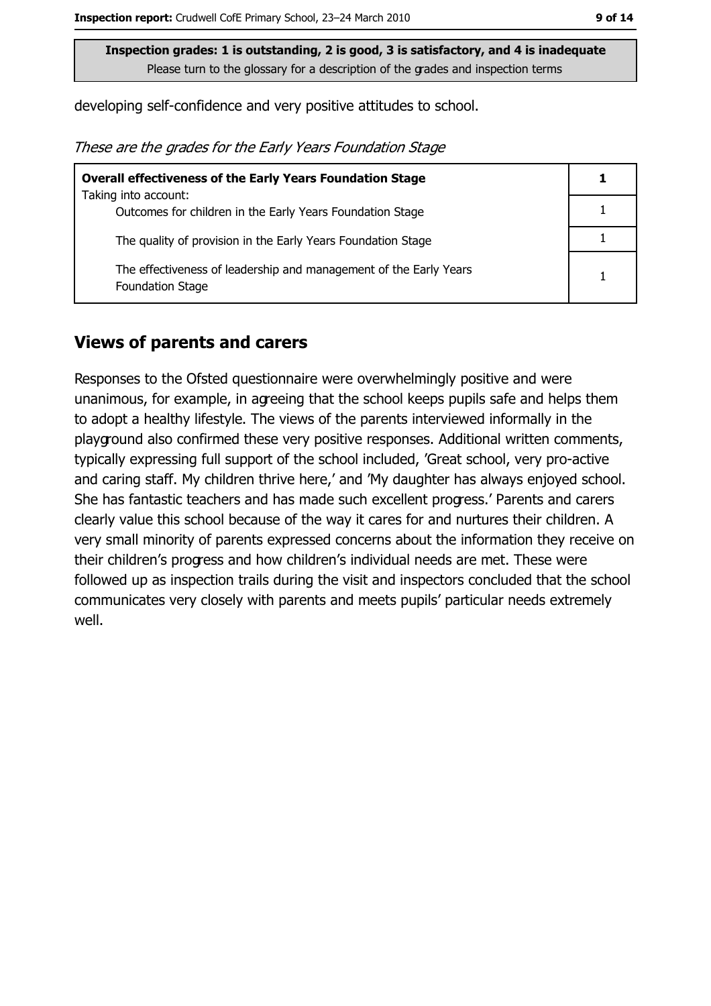developing self-confidence and very positive attitudes to school.

|  |  |  | These are the grades for the Early Years Foundation Stage |  |
|--|--|--|-----------------------------------------------------------|--|
|  |  |  |                                                           |  |

| <b>Overall effectiveness of the Early Years Foundation Stage</b>                             |   |
|----------------------------------------------------------------------------------------------|---|
| Taking into account:                                                                         |   |
| Outcomes for children in the Early Years Foundation Stage                                    |   |
| The quality of provision in the Early Years Foundation Stage                                 |   |
| The effectiveness of leadership and management of the Early Years<br><b>Foundation Stage</b> | 1 |

#### **Views of parents and carers**

Responses to the Ofsted questionnaire were overwhelmingly positive and were unanimous, for example, in agreeing that the school keeps pupils safe and helps them to adopt a healthy lifestyle. The views of the parents interviewed informally in the playground also confirmed these very positive responses. Additional written comments, typically expressing full support of the school included, 'Great school, very pro-active and caring staff. My children thrive here,' and 'My daughter has always enjoyed school. She has fantastic teachers and has made such excellent progress.' Parents and carers clearly value this school because of the way it cares for and nurtures their children. A very small minority of parents expressed concerns about the information they receive on their children's progress and how children's individual needs are met. These were followed up as inspection trails during the visit and inspectors concluded that the school communicates very closely with parents and meets pupils' particular needs extremely well.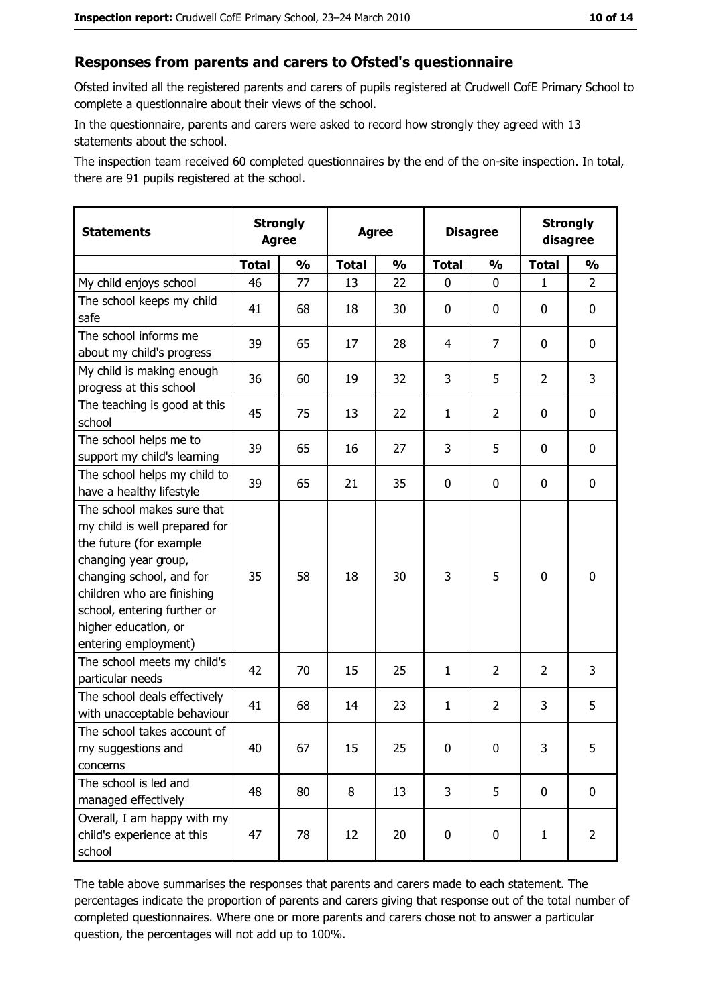#### Responses from parents and carers to Ofsted's questionnaire

Ofsted invited all the registered parents and carers of pupils registered at Crudwell CofE Primary School to complete a questionnaire about their views of the school.

In the questionnaire, parents and carers were asked to record how strongly they agreed with 13 statements about the school.

The inspection team received 60 completed questionnaires by the end of the on-site inspection. In total, there are 91 pupils registered at the school.

| <b>Statements</b>                                                                                                                                                                                                                                       | <b>Strongly</b><br><b>Agree</b><br><b>Agree</b> |               |              | <b>Disagree</b> |              | <b>Strongly</b><br>disagree |                |                |
|---------------------------------------------------------------------------------------------------------------------------------------------------------------------------------------------------------------------------------------------------------|-------------------------------------------------|---------------|--------------|-----------------|--------------|-----------------------------|----------------|----------------|
|                                                                                                                                                                                                                                                         | <b>Total</b>                                    | $\frac{1}{2}$ | <b>Total</b> | $\frac{0}{0}$   | <b>Total</b> | $\frac{0}{0}$               | <b>Total</b>   | $\frac{1}{2}$  |
| My child enjoys school                                                                                                                                                                                                                                  | 46                                              | 77            | 13           | 22              | 0            | 0                           | $\mathbf{1}$   | $\overline{2}$ |
| The school keeps my child<br>safe                                                                                                                                                                                                                       | 41                                              | 68            | 18           | 30              | $\mathbf 0$  | 0                           | 0              | 0              |
| The school informs me<br>about my child's progress                                                                                                                                                                                                      | 39                                              | 65            | 17           | 28              | 4            | 7                           | 0              | 0              |
| My child is making enough<br>progress at this school                                                                                                                                                                                                    | 36                                              | 60            | 19           | 32              | 3            | 5                           | $\overline{2}$ | 3              |
| The teaching is good at this<br>school                                                                                                                                                                                                                  | 45                                              | 75            | 13           | 22              | $\mathbf{1}$ | $\overline{2}$              | 0              | 0              |
| The school helps me to<br>support my child's learning                                                                                                                                                                                                   | 39                                              | 65            | 16           | 27              | 3            | 5                           | 0              | 0              |
| The school helps my child to<br>have a healthy lifestyle                                                                                                                                                                                                | 39                                              | 65            | 21           | 35              | $\mathbf 0$  | 0                           | 0              | 0              |
| The school makes sure that<br>my child is well prepared for<br>the future (for example<br>changing year group,<br>changing school, and for<br>children who are finishing<br>school, entering further or<br>higher education, or<br>entering employment) | 35                                              | 58            | 18           | 30              | 3            | 5                           | $\mathbf 0$    | 0              |
| The school meets my child's<br>particular needs                                                                                                                                                                                                         | 42                                              | 70            | 15           | 25              | $\mathbf{1}$ | $\overline{2}$              | $\overline{2}$ | 3              |
| The school deals effectively<br>with unacceptable behaviour                                                                                                                                                                                             | 41                                              | 68            | 14           | 23              | $\mathbf{1}$ | $\overline{2}$              | 3              | 5              |
| The school takes account of<br>my suggestions and<br>concerns                                                                                                                                                                                           | 40                                              | 67            | 15           | 25              | 0            | 0                           | 3              | 5              |
| The school is led and<br>managed effectively                                                                                                                                                                                                            | 48                                              | 80            | 8            | 13              | 3            | 5                           | 0              | $\mathbf 0$    |
| Overall, I am happy with my<br>child's experience at this<br>school                                                                                                                                                                                     | 47                                              | 78            | 12           | 20              | $\mathbf 0$  | 0                           | $\mathbf{1}$   | $\overline{2}$ |

The table above summarises the responses that parents and carers made to each statement. The percentages indicate the proportion of parents and carers giving that response out of the total number of completed questionnaires. Where one or more parents and carers chose not to answer a particular question, the percentages will not add up to 100%.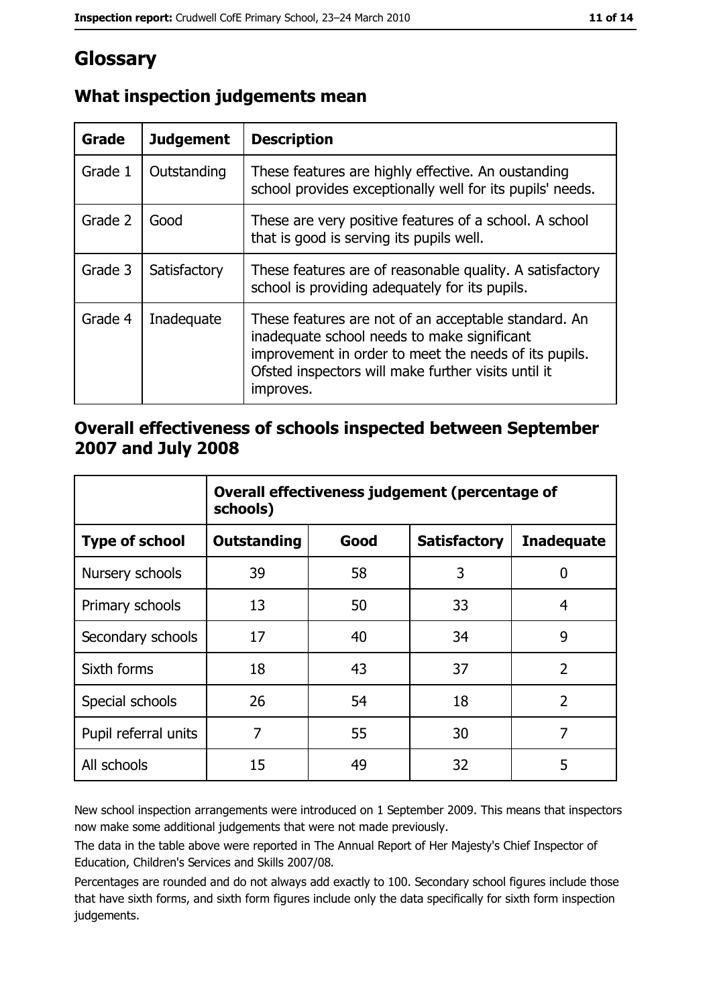# Glossary

| Grade   | <b>Judgement</b> | <b>Description</b>                                                                                                                                                                                                               |
|---------|------------------|----------------------------------------------------------------------------------------------------------------------------------------------------------------------------------------------------------------------------------|
| Grade 1 | Outstanding      | These features are highly effective. An oustanding<br>school provides exceptionally well for its pupils' needs.                                                                                                                  |
| Grade 2 | Good             | These are very positive features of a school. A school<br>that is good is serving its pupils well.                                                                                                                               |
| Grade 3 | Satisfactory     | These features are of reasonable quality. A satisfactory<br>school is providing adequately for its pupils.                                                                                                                       |
| Grade 4 | Inadequate       | These features are not of an acceptable standard. An<br>inadequate school needs to make significant<br>improvement in order to meet the needs of its pupils.<br>Ofsted inspectors will make further visits until it<br>improves. |

## What inspection judgements mean

## Overall effectiveness of schools inspected between September 2007 and July 2008

|                       | Overall effectiveness judgement (percentage of<br>schools) |      |                     |                   |
|-----------------------|------------------------------------------------------------|------|---------------------|-------------------|
| <b>Type of school</b> | Outstanding                                                | Good | <b>Satisfactory</b> | <b>Inadequate</b> |
| Nursery schools       | 39                                                         | 58   | 3                   | 0                 |
| Primary schools       | 13                                                         | 50   | 33                  | 4                 |
| Secondary schools     | 17                                                         | 40   | 34                  | 9                 |
| Sixth forms           | 18                                                         | 43   | 37                  | $\overline{2}$    |
| Special schools       | 26                                                         | 54   | 18                  | $\overline{2}$    |
| Pupil referral units  | 7                                                          | 55   | 30                  | 7                 |
| All schools           | 15                                                         | 49   | 32                  | 5                 |

New school inspection arrangements were introduced on 1 September 2009. This means that inspectors now make some additional judgements that were not made previously.

The data in the table above were reported in The Annual Report of Her Majesty's Chief Inspector of Education, Children's Services and Skills 2007/08.

Percentages are rounded and do not always add exactly to 100. Secondary school figures include those that have sixth forms, and sixth form figures include only the data specifically for sixth form inspection judgements.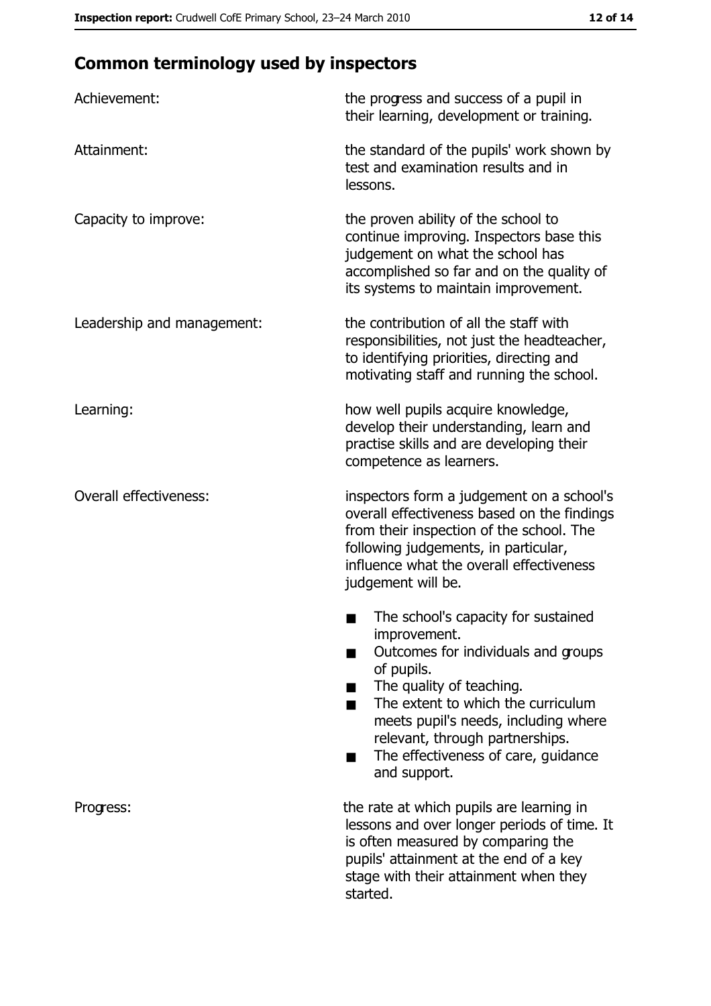# **Common terminology used by inspectors**

| Achievement:                  | the progress and success of a pupil in<br>their learning, development or training.                                                                                                                                                                                                                           |  |  |
|-------------------------------|--------------------------------------------------------------------------------------------------------------------------------------------------------------------------------------------------------------------------------------------------------------------------------------------------------------|--|--|
| Attainment:                   | the standard of the pupils' work shown by<br>test and examination results and in<br>lessons.                                                                                                                                                                                                                 |  |  |
| Capacity to improve:          | the proven ability of the school to<br>continue improving. Inspectors base this<br>judgement on what the school has<br>accomplished so far and on the quality of<br>its systems to maintain improvement.                                                                                                     |  |  |
| Leadership and management:    | the contribution of all the staff with<br>responsibilities, not just the headteacher,<br>to identifying priorities, directing and<br>motivating staff and running the school.                                                                                                                                |  |  |
| Learning:                     | how well pupils acquire knowledge,<br>develop their understanding, learn and<br>practise skills and are developing their<br>competence as learners.                                                                                                                                                          |  |  |
| <b>Overall effectiveness:</b> | inspectors form a judgement on a school's<br>overall effectiveness based on the findings<br>from their inspection of the school. The<br>following judgements, in particular,<br>influence what the overall effectiveness<br>judgement will be.                                                               |  |  |
|                               | The school's capacity for sustained<br>improvement.<br>Outcomes for individuals and groups<br>of pupils.<br>The quality of teaching.<br>The extent to which the curriculum<br>meets pupil's needs, including where<br>relevant, through partnerships.<br>The effectiveness of care, guidance<br>and support. |  |  |
| Progress:                     | the rate at which pupils are learning in<br>lessons and over longer periods of time. It<br>is often measured by comparing the<br>pupils' attainment at the end of a key<br>stage with their attainment when they<br>started.                                                                                 |  |  |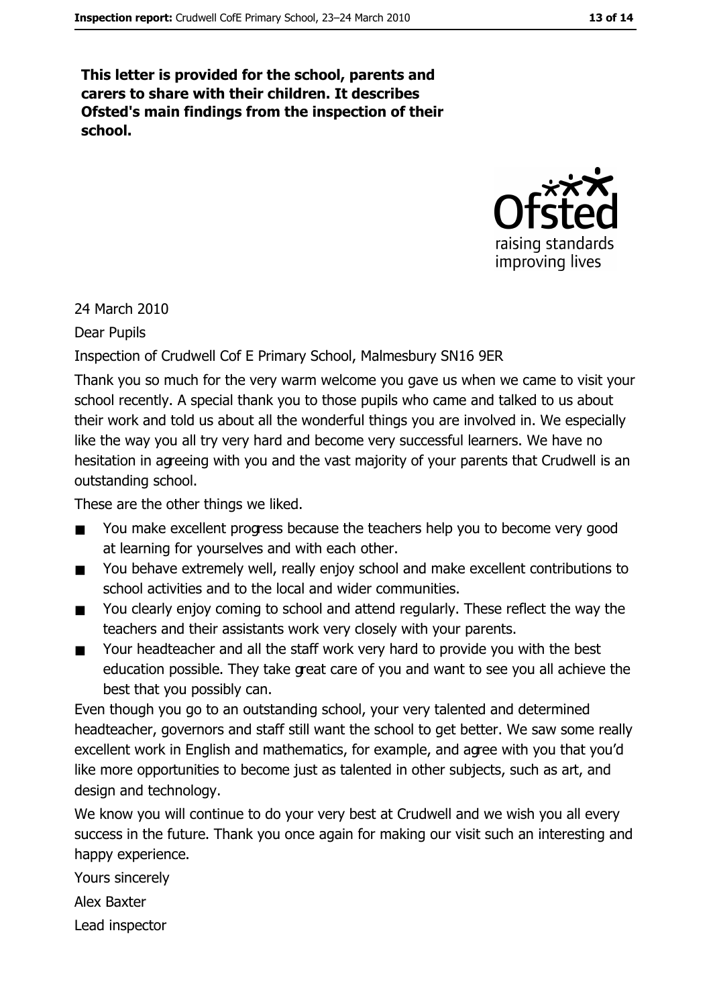This letter is provided for the school, parents and carers to share with their children. It describes Ofsted's main findings from the inspection of their school.



24 March 2010

**Dear Pupils** 

#### Inspection of Crudwell Cof E Primary School, Malmesbury SN16 9ER

Thank you so much for the very warm welcome you gave us when we came to visit your school recently. A special thank you to those pupils who came and talked to us about their work and told us about all the wonderful things you are involved in. We especially like the way you all try very hard and become very successful learners. We have no hesitation in agreeing with you and the vast majority of your parents that Crudwell is an outstanding school.

These are the other things we liked.

- $\blacksquare$ You make excellent progress because the teachers help you to become very good at learning for yourselves and with each other.
- You behave extremely well, really enjoy school and make excellent contributions to  $\blacksquare$ school activities and to the local and wider communities.
- You clearly enjoy coming to school and attend regularly. These reflect the way the  $\blacksquare$ teachers and their assistants work very closely with your parents.
- Your headteacher and all the staff work very hard to provide you with the best  $\blacksquare$ education possible. They take great care of you and want to see you all achieve the best that you possibly can.

Even though you go to an outstanding school, your very talented and determined headteacher, governors and staff still want the school to get better. We saw some really excellent work in English and mathematics, for example, and agree with you that you'd like more opportunities to become just as talented in other subjects, such as art, and design and technology.

We know you will continue to do your very best at Crudwell and we wish you all every success in the future. Thank you once again for making our visit such an interesting and happy experience.

Yours sincerely

Alex Baxter

Lead inspector